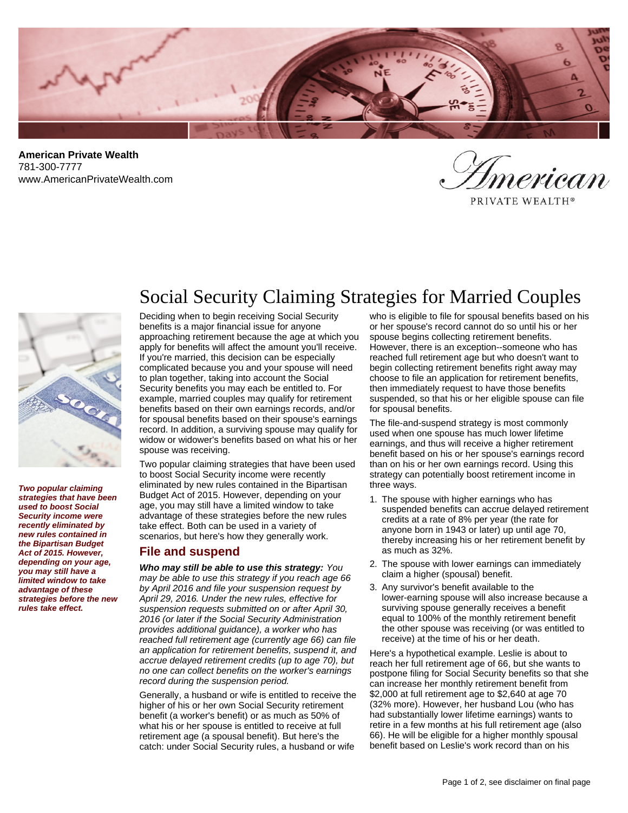

**American Private Wealth** 781-300-7777 www.AmericanPrivateWealth.com

.<br>ìerican

PRIVATE WEALTH®



**Two popular claiming strategies that have been used to boost Social Security income were recently eliminated by new rules contained in the Bipartisan Budget Act of 2015. However, depending on your age, you may still have a limited window to take advantage of these strategies before the new rules take effect.**

# Social Security Claiming Strategies for Married Couples

Deciding when to begin receiving Social Security benefits is a major financial issue for anyone approaching retirement because the age at which you apply for benefits will affect the amount you'll receive. If you're married, this decision can be especially complicated because you and your spouse will need to plan together, taking into account the Social Security benefits you may each be entitled to. For example, married couples may qualify for retirement benefits based on their own earnings records, and/or for spousal benefits based on their spouse's earnings record. In addition, a surviving spouse may qualify for widow or widower's benefits based on what his or her spouse was receiving.

Two popular claiming strategies that have been used to boost Social Security income were recently eliminated by new rules contained in the Bipartisan Budget Act of 2015. However, depending on your age, you may still have a limited window to take advantage of these strategies before the new rules take effect. Both can be used in a variety of scenarios, but here's how they generally work.

#### **File and suspend**

**Who may still be able to use this strategy:** You may be able to use this strategy if you reach age 66 by April 2016 and file your suspension request by April 29, 2016. Under the new rules, effective for suspension requests submitted on or after April 30, 2016 (or later if the Social Security Administration provides additional guidance), a worker who has reached full retirement age (currently age 66) can file an application for retirement benefits, suspend it, and accrue delayed retirement credits (up to age 70), but no one can collect benefits on the worker's earnings record during the suspension period.

Generally, a husband or wife is entitled to receive the higher of his or her own Social Security retirement benefit (a worker's benefit) or as much as 50% of what his or her spouse is entitled to receive at full retirement age (a spousal benefit). But here's the catch: under Social Security rules, a husband or wife

who is eligible to file for spousal benefits based on his or her spouse's record cannot do so until his or her spouse begins collecting retirement benefits. However, there is an exception--someone who has reached full retirement age but who doesn't want to begin collecting retirement benefits right away may choose to file an application for retirement benefits, then immediately request to have those benefits suspended, so that his or her eligible spouse can file for spousal benefits.

The file-and-suspend strategy is most commonly used when one spouse has much lower lifetime earnings, and thus will receive a higher retirement benefit based on his or her spouse's earnings record than on his or her own earnings record. Using this strategy can potentially boost retirement income in three ways.

- 1. The spouse with higher earnings who has suspended benefits can accrue delayed retirement credits at a rate of 8% per year (the rate for anyone born in 1943 or later) up until age 70, thereby increasing his or her retirement benefit by as much as 32%.
- 2. The spouse with lower earnings can immediately claim a higher (spousal) benefit.
- 3. Any survivor's benefit available to the lower-earning spouse will also increase because a surviving spouse generally receives a benefit equal to 100% of the monthly retirement benefit the other spouse was receiving (or was entitled to receive) at the time of his or her death.

Here's a hypothetical example. Leslie is about to reach her full retirement age of 66, but she wants to postpone filing for Social Security benefits so that she can increase her monthly retirement benefit from \$2,000 at full retirement age to \$2,640 at age 70 (32% more). However, her husband Lou (who has had substantially lower lifetime earnings) wants to retire in a few months at his full retirement age (also 66). He will be eligible for a higher monthly spousal benefit based on Leslie's work record than on his